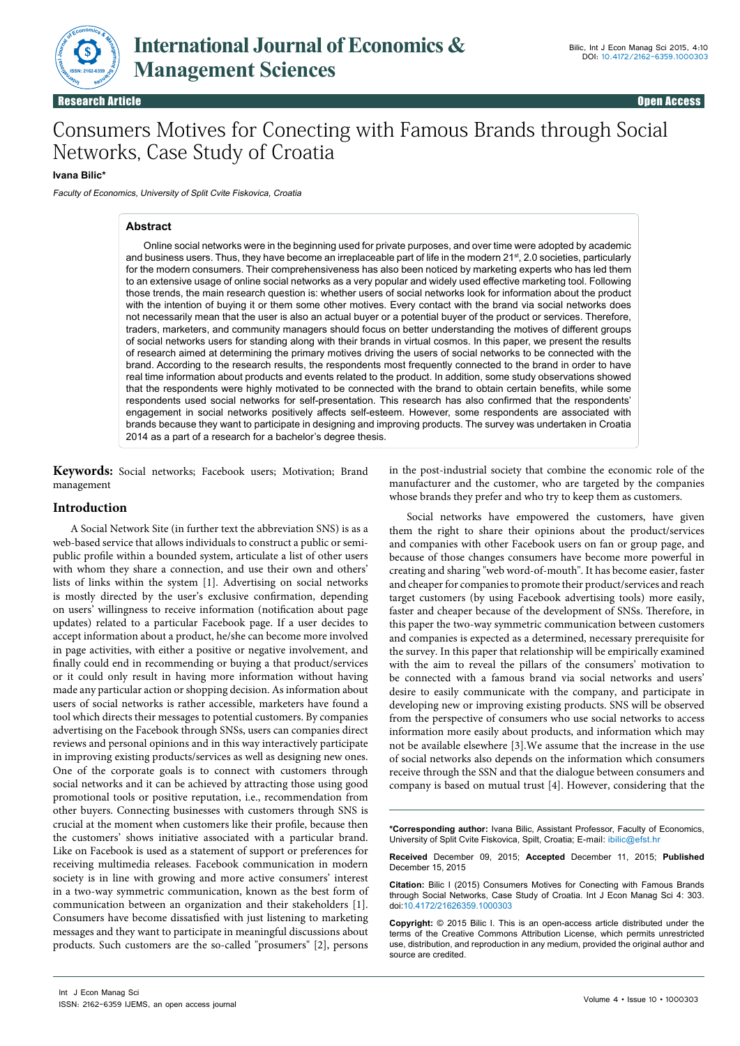

# Consumers Motives for Conecting with Famous Brands through Social Networks, Case Study of Croatia

## **Ivana Bilic\***

Faculty of Economics, University of Split Cvite Fiskovica, Croatia

## **Abstract**

Online social networks were in the beginning used for private purposes, and over time were adopted by academic and business users. Thus, they have become an irreplaceable part of life in the modern 21<sup>st</sup>, 2.0 societies, particularly for the modern consumers. Their comprehensiveness has also been noticed by marketing experts who has led them to an extensive usage of online social networks as a very popular and widely used effective marketing tool. Following those trends, the main research question is: whether users of social networks look for information about the product with the intention of buying it or them some other motives. Every contact with the brand via social networks does not necessarily mean that the user is also an actual buyer or a potential buyer of the product or services. Therefore, traders, marketers, and community managers should focus on better understanding the motives of different groups of social networks users for standing along with their brands in virtual cosmos. In this paper, we present the results of research aimed at determining the primary motives driving the users of social networks to be connected with the brand. According to the research results, the respondents most frequently connected to the brand in order to have real time information about products and events related to the product. In addition, some study observations showed that the respondents were highly motivated to be connected with the brand to obtain certain benefits, while some respondents used social networks for self-presentation. This research has also confirmed that the respondents' engagement in social networks positively affects self-esteem. However, some respondents are associated with brands because they want to participate in designing and improving products. The survey was undertaken in Croatia 2014 as a part of a research for a bachelor's degree thesis.

**Keywords:** Social networks; Facebook users; Motivation; Brand management

## **Introduction**

A Social Network Site (in further text the abbreviation SNS) is as a web-based service that allows individuals to construct a public or semipublic profile within a bounded system, articulate a list of other users with whom they share a connection, and use their own and others' lists of links within the system [1]. Advertising on social networks is mostly directed by the user's exclusive confirmation, depending on users' willingness to receive information (notification about page updates) related to a particular Facebook page. If a user decides to accept information about a product, he/she can become more involved in page activities, with either a positive or negative involvement, and finally could end in recommending or buying a that product/services or it could only result in having more information without having made any particular action or shopping decision. As information about users of social networks is rather accessible, marketers have found a tool which directs their messages to potential customers. By companies advertising on the Facebook through SNSs, users can companies direct reviews and personal opinions and in this way interactively participate in improving existing products/services as well as designing new ones. One of the corporate goals is to connect with customers through social networks and it can be achieved by attracting those using good promotional tools or positive reputation, i.e., recommendation from other buyers. Connecting businesses with customers through SNS is crucial at the moment when customers like their profile, because then the customers' shows initiative associated with a particular brand. Like on Facebook is used as a statement of support or preferences for receiving multimedia releases. Facebook communication in modern society is in line with growing and more active consumers' interest in a two-way symmetric communication, known as the best form of communication between an organization and their stakeholders [1]. Consumers have become dissatisfied with just listening to marketing messages and they want to participate in meaningful discussions about products. Such customers are the so-called "prosumers" [2], persons

in the post-industrial society that combine the economic role of the manufacturer and the customer, who are targeted by the companies whose brands they prefer and who try to keep them as customers.

Social networks have empowered the customers, have given them the right to share their opinions about the product/services and companies with other Facebook users on fan or group page, and because of those changes consumers have become more powerful in creating and sharing "web word-of-mouth". It has become easier, faster and cheaper for companies to promote their product/services and reach target customers (by using Facebook advertising tools) more easily, faster and cheaper because of the development of SNSs. Therefore, in this paper the two-way symmetric communication between customers and companies is expected as a determined, necessary prerequisite for the survey. In this paper that relationship will be empirically examined with the aim to reveal the pillars of the consumers' motivation to be connected with a famous brand via social networks and users' desire to easily communicate with the company, and participate in developing new or improving existing products. SNS will be observed from the perspective of consumers who use social networks to access information more easily about products, and information which may not be available elsewhere [3].We assume that the increase in the use of social networks also depends on the information which consumers receive through the SSN and that the dialogue between consumers and company is based on mutual trust [4]. However, considering that the

**\*Corresponding author:** Ivana Bilic, Assistant Professor, Faculty of Economics, University of Split Cvite Fiskovica, Spilt, Croatia; E-mail: ibilic@efst.hr

**Received** December 09, 2015; **Accepted** December 11, 2015; **Published** December 15, 2015

**Citation:** Bilic I (2015) Consumers Motives for Conecting with Famous Brands through Social Networks, Case Study of Croatia. Int J Econ Manag Sci 4: 303. doi:10.4172/21626359.1000303

**Copyright:** © 2015 Bilic I. This is an open-access article distributed under the terms of the Creative Commons Attribution License, which permits unrestricted use, distribution, and reproduction in any medium, provided the original author and source are credited.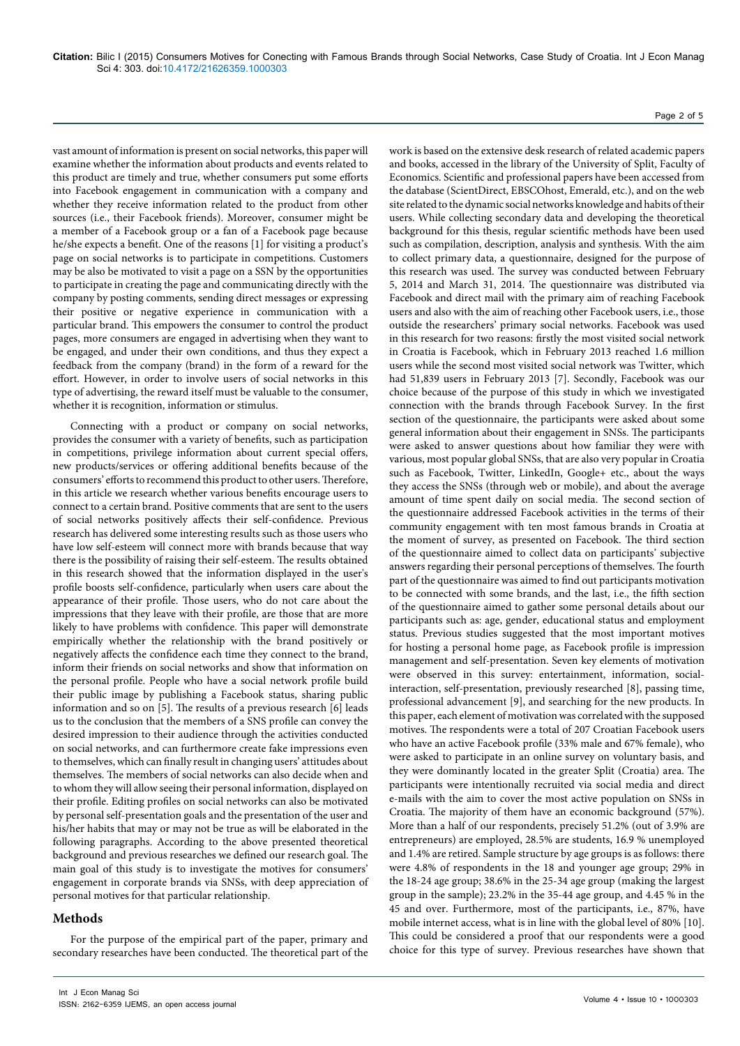vast amount of information is present on social networks, this paper will examine whether the information about products and events related to this product are timely and true, whether consumers put some efforts into Facebook engagement in communication with a company and whether they receive information related to the product from other sources (i.e., their Facebook friends). Moreover, consumer might be a member of a Facebook group or a fan of a Facebook page because he/she expects a benefit. One of the reasons [1] for visiting a product's page on social networks is to participate in competitions. Customers may be also be motivated to visit a page on a SSN by the opportunities to participate in creating the page and communicating directly with the company by posting comments, sending direct messages or expressing their positive or negative experience in communication with a particular brand. This empowers the consumer to control the product pages, more consumers are engaged in advertising when they want to be engaged, and under their own conditions, and thus they expect a feedback from the company (brand) in the form of a reward for the effort. However, in order to involve users of social networks in this type of advertising, the reward itself must be valuable to the consumer, whether it is recognition, information or stimulus.

Connecting with a product or company on social networks, provides the consumer with a variety of benefits, such as participation in competitions, privilege information about current special offers, new products/services or offering additional benefits because of the consumers' efforts to recommend this product to other users. Therefore, in this article we research whether various benefits encourage users to connect to a certain brand. Positive comments that are sent to the users of social networks positively affects their self-confidence. Previous research has delivered some interesting results such as those users who have low self-esteem will connect more with brands because that way there is the possibility of raising their self-esteem. The results obtained in this research showed that the information displayed in the user's profile boosts self-confidence, particularly when users care about the appearance of their profile. Those users, who do not care about the impressions that they leave with their profile, are those that are more likely to have problems with confidence. This paper will demonstrate empirically whether the relationship with the brand positively or negatively affects the confidence each time they connect to the brand, inform their friends on social networks and show that information on the personal profile. People who have a social network profile build their public image by publishing a Facebook status, sharing public information and so on [5]. The results of a previous research [6] leads us to the conclusion that the members of a SNS profile can convey the desired impression to their audience through the activities conducted on social networks, and can furthermore create fake impressions even to themselves, which can finally result in changing users' attitudes about themselves. The members of social networks can also decide when and to whom they will allow seeing their personal information, displayed on their profile. Editing profiles on social networks can also be motivated by personal self-presentation goals and the presentation of the user and his/her habits that may or may not be true as will be elaborated in the following paragraphs. According to the above presented theoretical background and previous researches we defined our research goal. The main goal of this study is to investigate the motives for consumers' engagement in corporate brands via SNSs, with deep appreciation of personal motives for that particular relationship.

# **Methods**

For the purpose of the empirical part of the paper, primary and secondary researches have been conducted. The theoretical part of the

work is based on the extensive desk research of related academic papers and books, accessed in the library of the University of Split, Faculty of Economics. Scientific and professional papers have been accessed from the database (ScientDirect, EBSCOhost, Emerald, etc.), and on the web site related to the dynamic social networks knowledge and habits of their users. While collecting secondary data and developing the theoretical background for this thesis, regular scientific methods have been used such as compilation, description, analysis and synthesis. With the aim to collect primary data, a questionnaire, designed for the purpose of this research was used. The survey was conducted between February 5, 2014 and March 31, 2014. The questionnaire was distributed via Facebook and direct mail with the primary aim of reaching Facebook users and also with the aim of reaching other Facebook users, i.e., those outside the researchers' primary social networks. Facebook was used in this research for two reasons: firstly the most visited social network in Croatia is Facebook, which in February 2013 reached 1.6 million users while the second most visited social network was Twitter, which had 51,839 users in February 2013 [7]. Secondly, Facebook was our choice because of the purpose of this study in which we investigated connection with the brands through Facebook Survey. In the first section of the questionnaire, the participants were asked about some general information about their engagement in SNSs. The participants were asked to answer questions about how familiar they were with various, most popular global SNSs, that are also very popular in Croatia such as Facebook, Twitter, LinkedIn, Google+ etc., about the ways they access the SNSs (through web or mobile), and about the average amount of time spent daily on social media. The second section of the questionnaire addressed Facebook activities in the terms of their community engagement with ten most famous brands in Croatia at the moment of survey, as presented on Facebook. The third section of the questionnaire aimed to collect data on participants' subjective answers regarding their personal perceptions of themselves. The fourth part of the questionnaire was aimed to find out participants motivation to be connected with some brands, and the last, i.e., the fifth section of the questionnaire aimed to gather some personal details about our participants such as: age, gender, educational status and employment status. Previous studies suggested that the most important motives for hosting a personal home page, as Facebook profile is impression management and self-presentation. Seven key elements of motivation were observed in this survey: entertainment, information, socialinteraction, self-presentation, previously researched [8], passing time, professional advancement [9], and searching for the new products. In this paper, each element of motivation was correlated with the supposed motives. The respondents were a total of 207 Croatian Facebook users who have an active Facebook profile (33% male and 67% female), who were asked to participate in an online survey on voluntary basis, and they were dominantly located in the greater Split (Croatia) area. The participants were intentionally recruited via social media and direct e-mails with the aim to cover the most active population on SNSs in Croatia. The majority of them have an economic background (57%). More than a half of our respondents, precisely 51.2% (out of 3.9% are entrepreneurs) are employed, 28.5% are students, 16.9 % unemployed and 1.4% are retired. Sample structure by age groups is as follows: there were 4.8% of respondents in the 18 and younger age group; 29% in the 18-24 age group; 38.6% in the 25-34 age group (making the largest group in the sample); 23.2% in the 35-44 age group, and 4.45 % in the 45 and over. Furthermore, most of the participants, i.e., 87%, have mobile internet access, what is in line with the global level of 80% [10]. This could be considered a proof that our respondents were a good choice for this type of survey. Previous researches have shown that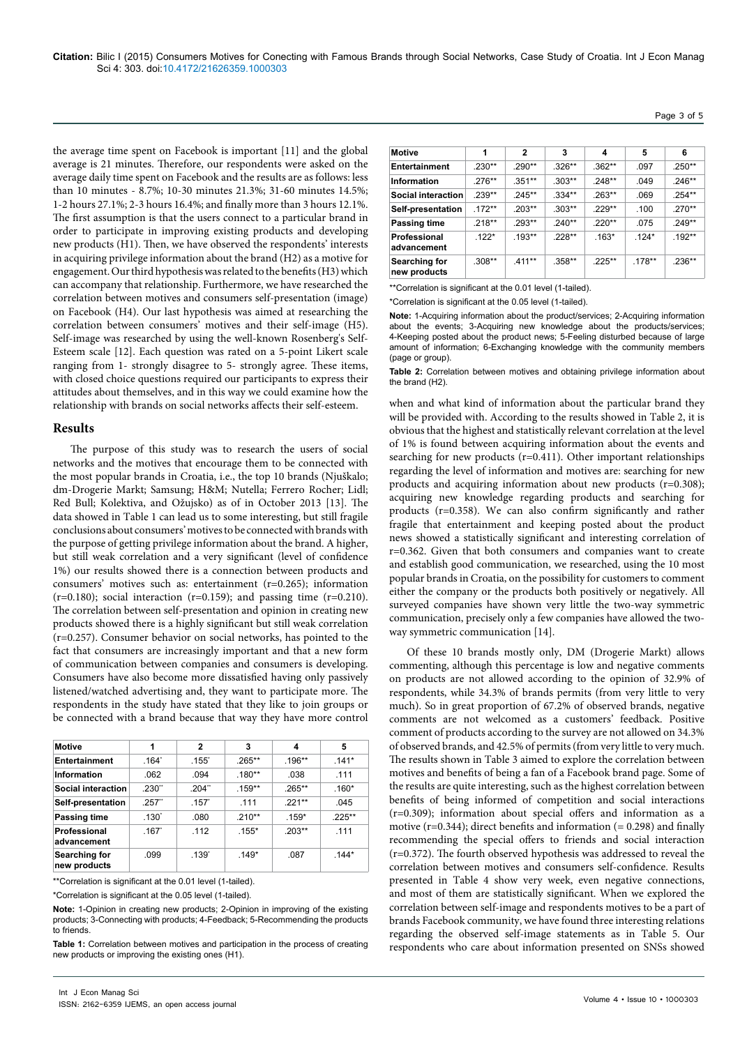the average time spent on Facebook is important [11] and the global average is 21 minutes. Therefore, our respondents were asked on the average daily time spent on Facebook and the results are as follows: less than 10 minutes - 8.7%; 10-30 minutes 21.3%; 31-60 minutes 14.5%; 1-2 hours 27.1%; 2-3 hours 16.4%; and finally more than 3 hours 12.1%. The first assumption is that the users connect to a particular brand in order to participate in improving existing products and developing new products (H1). Then, we have observed the respondents' interests in acquiring privilege information about the brand (H2) as a motive for engagement. Our third hypothesis was related to the benefits (H3) which can accompany that relationship. Furthermore, we have researched the correlation between motives and consumers self-presentation (image) on Facebook (H4). Our last hypothesis was aimed at researching the correlation between consumers' motives and their self-image (H5). Self-image was researched by using the well-known Rosenberg's Self-Esteem scale [12]. Each question was rated on a 5-point Likert scale ranging from 1- strongly disagree to 5- strongly agree. These items, with closed choice questions required our participants to express their attitudes about themselves, and in this way we could examine how the relationship with brands on social networks affects their self-esteem.

## **Results**

The purpose of this study was to research the users of social networks and the motives that encourage them to be connected with the most popular brands in Croatia, i.e., the top 10 brands (Njuškalo; dm-Drogerie Markt; Samsung; H&M; Nutella; Ferrero Rocher; Lidl; Red Bull; Kolektiva, and Ožujsko) as of in October 2013 [13]. The data showed in Table 1 can lead us to some interesting, but still fragile conclusions about consumers' motives to be connected with brands with the purpose of getting privilege information about the brand. A higher, but still weak correlation and a very significant (level of confidence 1%) our results showed there is a connection between products and consumers' motives such as: entertainment (r=0.265); information  $(r=0.180)$ ; social interaction  $(r=0.159)$ ; and passing time  $(r=0.210)$ . The correlation between self-presentation and opinion in creating new products showed there is a highly significant but still weak correlation (r=0.257). Consumer behavior on social networks, has pointed to the fact that consumers are increasingly important and that a new form of communication between companies and consumers is developing. Consumers have also become more dissatisfied having only passively listened/watched advertising and, they want to participate more. The respondents in the study have stated that they like to join groups or be connected with a brand because that way they have more control

| <b>Motive</b>                 | 1                 | $\mathbf{2}$      | 3         | 4         | 5         |
|-------------------------------|-------------------|-------------------|-----------|-----------|-----------|
| <b>Entertainment</b>          | $.164^{\circ}$    | $.155^{\circ}$    | $.265***$ | $.196**$  | $.141*$   |
| Information                   | .062              | .094              | $.180**$  | .038      | .111      |
| Social interaction            | .230"             | .204"             | .159**    | $.265***$ | $.160*$   |
| Self-presentation             | $.257$ "          | .157              | .111      | $.221**$  | .045      |
| Passing time                  | .130 <sup>°</sup> | .080              | $.210**$  | $.159*$   | $.225***$ |
| Professional<br>advancement   | .167              | .112              | $.155*$   | $.203**$  | .111      |
| Searching for<br>new products | .099              | .139 <sup>°</sup> | $.149*$   | .087      | $.144*$   |

\*\*Correlation is significant at the 0.01 level (1-tailed).

\*Correlation is significant at the 0.05 level (1-tailed).

**Note:** 1-Opinion in creating new products; 2-Opinion in improving of the existing products; 3-Connecting with products; 4-Feedback; 5-Recommending the products to friends.

**Table 1:** Correlation between motives and participation in the process of creating new products or improving the existing ones (H1).

| <b>Motive</b>                 | 1        | 2         | 3        | 4         | 5        | 6         |
|-------------------------------|----------|-----------|----------|-----------|----------|-----------|
| <b>Entertainment</b>          | $.230**$ | $.290**$  | $.326**$ | $.362**$  | .097     | $.250**$  |
| Information                   | $.276**$ | $.351***$ | $.303**$ | $.248**$  | .049     | $.246**$  |
| <b>Social interaction</b>     | $.239**$ | $.245***$ | $.334**$ | $.263**$  | .069     | $.254***$ |
| Self-presentation             | $172**$  | $.203**$  | $.303**$ | $.229**$  | .100     | $.270**$  |
| Passing time                  | $.218**$ | $.293**$  | $.240**$ | $.220**$  | .075     | $.249**$  |
| Professional<br>advancement   | $.122*$  | $.193**$  | $.228**$ | $.163*$   | $.124*$  | $.192**$  |
| Searching for<br>new products | $.308**$ | $.411**$  | $.358**$ | $.225***$ | $.178**$ | $.236**$  |

\*\*Correlation is significant at the 0.01 level (1-tailed).

\*Correlation is significant at the 0.05 level (1-tailed).

**Note:** 1-Acquiring information about the product/services; 2-Acquiring information about the events; 3-Acquiring new knowledge about the products/services; 4-Keeping posted about the product news; 5-Feeling disturbed because of large amount of information; 6-Exchanging knowledge with the community members (page or group).

**Table 2:** Correlation between motives and obtaining privilege information about the brand (H2).

when and what kind of information about the particular brand they will be provided with. According to the results showed in Table 2, it is obvious that the highest and statistically relevant correlation at the level of 1% is found between acquiring information about the events and searching for new products ( $r=0.411$ ). Other important relationships regarding the level of information and motives are: searching for new products and acquiring information about new products (r=0.308); acquiring new knowledge regarding products and searching for products (r=0.358). We can also confirm significantly and rather fragile that entertainment and keeping posted about the product news showed a statistically significant and interesting correlation of r=0.362. Given that both consumers and companies want to create and establish good communication, we researched, using the 10 most popular brands in Croatia, on the possibility for customers to comment either the company or the products both positively or negatively. All surveyed companies have shown very little the two-way symmetric communication, precisely only a few companies have allowed the twoway symmetric communication [14].

Of these 10 brands mostly only, DM (Drogerie Markt) allows commenting, although this percentage is low and negative comments on products are not allowed according to the opinion of 32.9% of respondents, while 34.3% of brands permits (from very little to very much). So in great proportion of 67.2% of observed brands, negative comments are not welcomed as a customers' feedback. Positive comment of products according to the survey are not allowed on 34.3% of observed brands, and 42.5% of permits (from very little to very much. The results shown in Table 3 aimed to explore the correlation between motives and benefits of being a fan of a Facebook brand page. Some of the results are quite interesting, such as the highest correlation between benefits of being informed of competition and social interactions (r=0.309); information about special offers and information as a motive  $(r=0.344)$ ; direct benefits and information  $(=0.298)$  and finally recommending the special offers to friends and social interaction (r=0.372). The fourth observed hypothesis was addressed to reveal the correlation between motives and consumers self-confidence. Results presented in Table 4 show very week, even negative connections, and most of them are statistically significant. When we explored the correlation between self-image and respondents motives to be a part of brands Facebook community, we have found three interesting relations regarding the observed self-image statements as in Table 5. Our respondents who care about information presented on SNSs showed

#### Page 3 of 5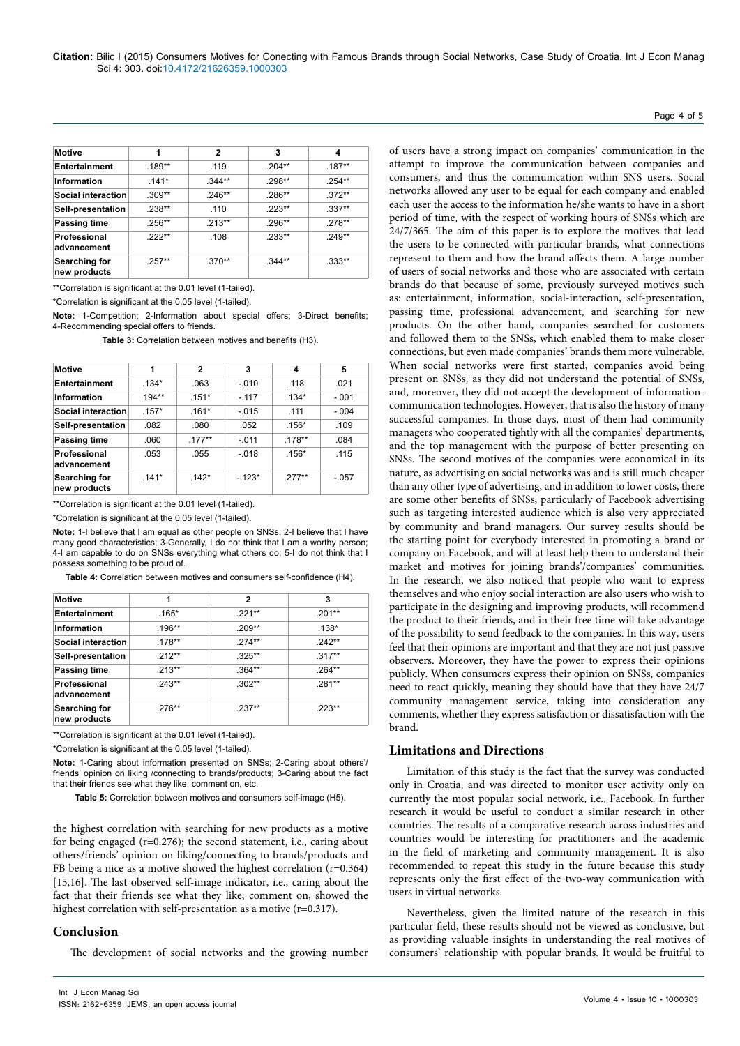| <b>Motive</b>                 | 1         | $\mathbf{2}$ | 3        | 4         |
|-------------------------------|-----------|--------------|----------|-----------|
| <b>Entertainment</b>          | .189**    | .119         | $.204**$ | $.187**$  |
| Information                   | $.141*$   | $.344**$     | .298**   | $.254***$ |
| Social interaction            | $.309**$  | $.246**$     | .286**   | $.372**$  |
| Self-presentation             | $.238**$  | .110         | $.223**$ | $.337**$  |
| Passing time                  | $.256***$ | $.213**$     | $.296**$ | .278**    |
| Professional<br>advancement   | $222**$   | .108         | $.233**$ | $.249**$  |
| Searching for<br>new products | $.257**$  | $.370**$     | $.344**$ | $.333**$  |

\*\*Correlation is significant at the 0.01 level (1-tailed).

\*Correlation is significant at the 0.05 level (1-tailed).

**Note:** 1-Competition; 2-Information about special offers; 3-Direct benefits; 4-Recommending special offers to friends.

**Table 3:** Correlation between motives and benefits (H3).

| <b>Motive</b>                 | 1        | $\mathbf{2}$ | 3       | 4        | 5       |
|-------------------------------|----------|--------------|---------|----------|---------|
| <b>Entertainment</b>          | $.134*$  | .063         | $-.010$ | .118     | .021    |
| <b>Information</b>            | $.194**$ | $.151*$      | $-.117$ | $.134*$  | $-.001$ |
| <b>Social interaction</b>     | $.157*$  | $.161*$      | $-.015$ | .111     | $-.004$ |
| Self-presentation             | .082     | .080         | .052    | $.156*$  | .109    |
| Passing time                  | .060     | $.177***$    | $-.011$ | $.178**$ | .084    |
| Professional<br>advancement   | .053     | .055         | $-.018$ | $.156*$  | .115    |
| Searching for<br>new products | $.141*$  | $.142*$      | $-123*$ | $277**$  | $-.057$ |

\*\*Correlation is significant at the 0.01 level (1-tailed).

\*Correlation is significant at the 0.05 level (1-tailed).

**Note:** 1-I believe that I am equal as other people on SNSs; 2-I believe that I have many good characteristics; 3-Generally, I do not think that I am a worthy person; 4-I am capable to do on SNSs everything what others do; 5-I do not think that I possess something to be proud of.

**Table 4:** Correlation between motives and consumers self-confidence (H4).

| <b>Motive</b>                 | 1         | $\mathbf{2}$ | 3         |
|-------------------------------|-----------|--------------|-----------|
| <b>Entertainment</b>          | $.165*$   | $.221**$     | $.201***$ |
| <b>Information</b>            | $.196**$  | $.209**$     | $.138*$   |
| Social interaction            | $.178**$  | $.274***$    | $.242**$  |
| Self-presentation             | $.212**$  | $.325***$    | $.317**$  |
| Passing time                  | $.213**$  | $.364**$     | .264**    |
| Professional<br>advancement   | $.243**$  | $.302***$    | $.281**$  |
| Searching for<br>new products | $.276***$ | $.237**$     | $.223**$  |

\*\*Correlation is significant at the 0.01 level (1-tailed).

\*Correlation is significant at the 0.05 level (1-tailed).

**Note:** 1-Caring about information presented on SNSs; 2-Caring about others'/ friends' opinion on liking /connecting to brands/products; 3-Caring about the fact that their friends see what they like, comment on, etc.

**Table 5:** Correlation between motives and consumers self-image (H5).

the highest correlation with searching for new products as a motive for being engaged (r=0.276); the second statement, i.e., caring about others/friends' opinion on liking/connecting to brands/products and FB being a nice as a motive showed the highest correlation (r=0.364) [15,16]. The last observed self-image indicator, i.e., caring about the fact that their friends see what they like, comment on, showed the highest correlation with self-presentation as a motive (r=0.317).

#### **Conclusion**

The development of social networks and the growing number

of users have a strong impact on companies' communication in the attempt to improve the communication between companies and consumers, and thus the communication within SNS users. Social networks allowed any user to be equal for each company and enabled each user the access to the information he/she wants to have in a short period of time, with the respect of working hours of SNSs which are 24/7/365. The aim of this paper is to explore the motives that lead the users to be connected with particular brands, what connections represent to them and how the brand affects them. A large number of users of social networks and those who are associated with certain brands do that because of some, previously surveyed motives such as: entertainment, information, social-interaction, self-presentation, passing time, professional advancement, and searching for new products. On the other hand, companies searched for customers and followed them to the SNSs, which enabled them to make closer connections, but even made companies' brands them more vulnerable. When social networks were first started, companies avoid being present on SNSs, as they did not understand the potential of SNSs, and, moreover, they did not accept the development of informationcommunication technologies. However, that is also the history of many successful companies. In those days, most of them had community managers who cooperated tightly with all the companies' departments, and the top management with the purpose of better presenting on SNSs. The second motives of the companies were economical in its nature, as advertising on social networks was and is still much cheaper than any other type of advertising, and in addition to lower costs, there are some other benefits of SNSs, particularly of Facebook advertising such as targeting interested audience which is also very appreciated by community and brand managers. Our survey results should be the starting point for everybody interested in promoting a brand or company on Facebook, and will at least help them to understand their market and motives for joining brands'/companies' communities. In the research, we also noticed that people who want to express themselves and who enjoy social interaction are also users who wish to participate in the designing and improving products, will recommend the product to their friends, and in their free time will take advantage of the possibility to send feedback to the companies. In this way, users feel that their opinions are important and that they are not just passive observers. Moreover, they have the power to express their opinions publicly. When consumers express their opinion on SNSs, companies need to react quickly, meaning they should have that they have 24/7 community management service, taking into consideration any comments, whether they express satisfaction or dissatisfaction with the brand.

### **Limitations and Directions**

Limitation of this study is the fact that the survey was conducted only in Croatia, and was directed to monitor user activity only on currently the most popular social network, i.e., Facebook. In further research it would be useful to conduct a similar research in other countries. The results of a comparative research across industries and countries would be interesting for practitioners and the academic in the field of marketing and community management. It is also recommended to repeat this study in the future because this study represents only the first effect of the two-way communication with users in virtual networks.

Nevertheless, given the limited nature of the research in this particular field, these results should not be viewed as conclusive, but as providing valuable insights in understanding the real motives of consumers' relationship with popular brands. It would be fruitful to

#### Page 4 of 5